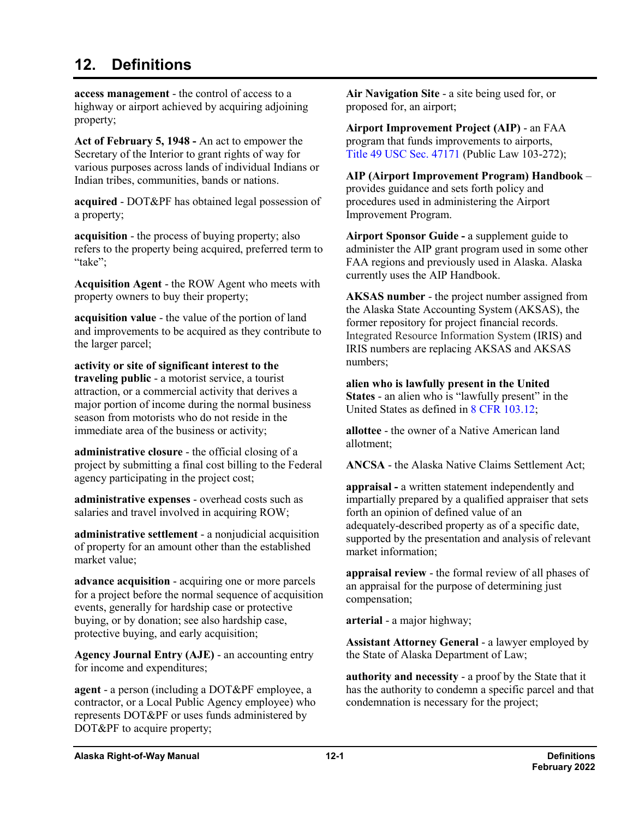## **12. Definitions**

**access management** - the control of access to a highway or airport achieved by acquiring adjoining property;

**Act of February 5, 1948 -** An act to empower the Secretary of the Interior to grant rights of way for various purposes across lands of individual Indians or Indian tribes, communities, bands or nations.

**acquired** - DOT&PF has obtained legal possession of a property;

**acquisition** - the process of buying property; also refers to the property being acquired, preferred term to "take";

**Acquisition Agent** - the ROW Agent who meets with property owners to buy their property;

**acquisition value** - the value of the portion of land and improvements to be acquired as they contribute to the larger parcel;

**activity or site of significant interest to the traveling public** - a motorist service, a tourist attraction, or a commercial activity that derives a major portion of income during the normal business season from motorists who do not reside in the immediate area of the business or activity;

**administrative closure** - the official closing of a project by submitting a final cost billing to the Federal agency participating in the project cost;

**administrative expenses** - overhead costs such as salaries and travel involved in acquiring ROW;

**administrative settlement** - a nonjudicial acquisition of property for an amount other than the established market value;

**advance acquisition** - acquiring one or more parcels for a project before the normal sequence of acquisition events, generally for hardship case or protective buying, or by donation; see also hardship case, protective buying, and early acquisition;

**Agency Journal Entry (AJE)** - an accounting entry for income and expenditures;

**agent** - a person (including a DOT&PF employee, a contractor, or a Local Public Agency employee) who represents DOT&PF or uses funds administered by DOT&PF to acquire property;

**Air Navigation Site** - a site being used for, or proposed for, an airport;

**Airport Improvement Project (AIP)** - an FAA program that funds improvements to airports, Title 49 USC Sec. [47171](http://uscode.house.gov/view.xhtml?req=(title:49%20section:47171%20edition:prelim)%20OR%20(granuleid:USC-prelim-title49-section47171)&f=treesort&edition=prelim&num=0&jumpTo=true) (Public Law 103-272);

**AIP (Airport Improvement Program) Handbook** – provides guidance and sets forth policy and procedures used in administering the Airport Improvement Program.

**Airport Sponsor Guide -** a supplement guide to administer the AIP grant program used in some other FAA regions and previously used in Alaska. Alaska currently uses the AIP Handbook.

**AKSAS number** - the project number assigned from the Alaska State Accounting System (AKSAS), the former repository for project financial records. Integrated Resource Information System (IRIS) and IRIS numbers are replacing AKSAS and AKSAS numbers;

**alien who is lawfully present in the United States** - an alien who is "lawfully present" in the United States as defined in 8 CFR [103.12;](http://www.dot.state.ak.us/stwddes/dcsrow/urlindex.html#FederalStatutes)

**allottee** - the owner of a Native American land allotment;

**ANCSA** - the Alaska Native Claims Settlement Act;

**appraisal -** a written statement independently and impartially prepared by a qualified appraiser that sets forth an opinion of defined value of an adequately-described property as of a specific date, supported by the presentation and analysis of relevant market information;

**appraisal review** - the formal review of all phases of an appraisal for the purpose of determining just compensation;

**arterial** - a major highway;

**Assistant Attorney General** - a lawyer employed by the State of Alaska Department of Law;

**authority and necessity** - a proof by the State that it has the authority to condemn a specific parcel and that condemnation is necessary for the project;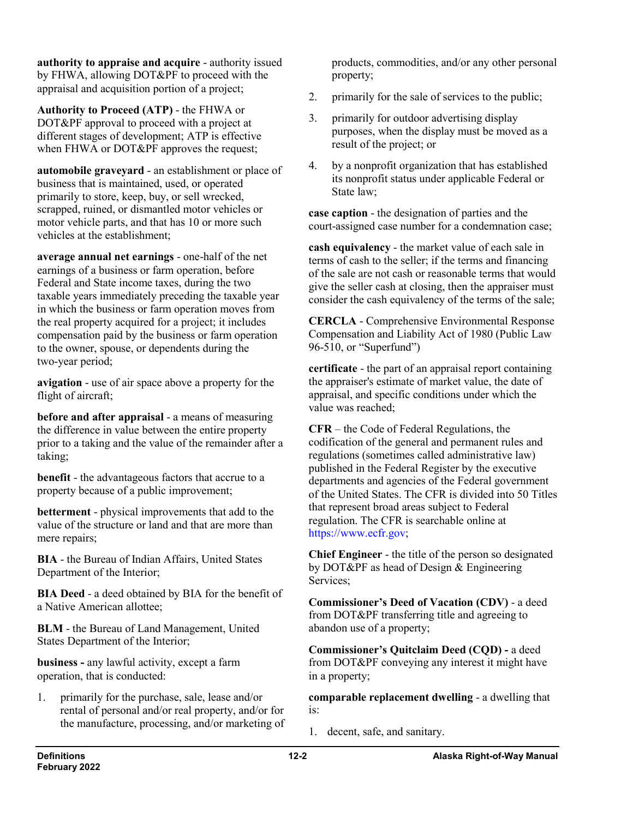**authority to appraise and acquire** - authority issued by FHWA, allowing DOT&PF to proceed with the appraisal and acquisition portion of a project;

**Authority to Proceed (ATP)** - the FHWA or DOT&PF approval to proceed with a project at different stages of development; ATP is effective when FHWA or DOT&PF approves the request;

**automobile graveyard** - an establishment or place of business that is maintained, used, or operated primarily to store, keep, buy, or sell wrecked, scrapped, ruined, or dismantled motor vehicles or motor vehicle parts, and that has 10 or more such vehicles at the establishment;

**average annual net earnings** - one-half of the net earnings of a business or farm operation, before Federal and State income taxes, during the two taxable years immediately preceding the taxable year in which the business or farm operation moves from the real property acquired for a project; it includes compensation paid by the business or farm operation to the owner, spouse, or dependents during the two-year period;

**avigation** - use of air space above a property for the flight of aircraft;

**before and after appraisal** - a means of measuring the difference in value between the entire property prior to a taking and the value of the remainder after a taking;

**benefit** - the advantageous factors that accrue to a property because of a public improvement;

**betterment** - physical improvements that add to the value of the structure or land and that are more than mere repairs;

**BIA** - the Bureau of Indian Affairs, United States Department of the Interior;

**BIA Deed** - a deed obtained by BIA for the benefit of a Native American allottee;

**BLM** - the Bureau of Land Management, United States Department of the Interior;

**business -** any lawful activity, except a farm operation, that is conducted:

1. primarily for the purchase, sale, lease and/or rental of personal and/or real property, and/or for the manufacture, processing, and/or marketing of

products, commodities, and/or any other personal property;

- 2. primarily for the sale of services to the public;
- 3. primarily for outdoor advertising display purposes, when the display must be moved as a result of the project; or
- 4. by a nonprofit organization that has established its nonprofit status under applicable Federal or State law;

**case caption** - the designation of parties and the court-assigned case number for a condemnation case;

**cash equivalency** - the market value of each sale in terms of cash to the seller; if the terms and financing of the sale are not cash or reasonable terms that would give the seller cash at closing, then the appraiser must consider the cash equivalency of the terms of the sale;

**CERCLA** - Comprehensive Environmental Response Compensation and Liability Act of 1980 (Public Law 96-510, or "Superfund")

**certificate** - the part of an appraisal report containing the appraiser's estimate of market value, the date of appraisal, and specific conditions under which the value was reached;

**CFR** – the Code of Federal Regulations, the codification of the general and permanent rules and regulations (sometimes called administrative law) published in the Federal Register by the executive departments and agencies of the Federal government of the United States. The CFR is divided into 50 Titles that represent broad areas subject to Federal regulation. The CFR is searchable online at [https://www.ecfr.gov;](https://www.ecfr.gov/)

**Chief Engineer** - the title of the person so designated by DOT&PF as head of Design & Engineering Services;

**Commissioner's Deed of Vacation (CDV)** - a deed from DOT&PF transferring title and agreeing to abandon use of a property;

**Commissioner's Quitclaim Deed (CQD) -** a deed from DOT&PF conveying any interest it might have in a property;

**comparable replacement dwelling** - a dwelling that is:

1. decent, safe, and sanitary.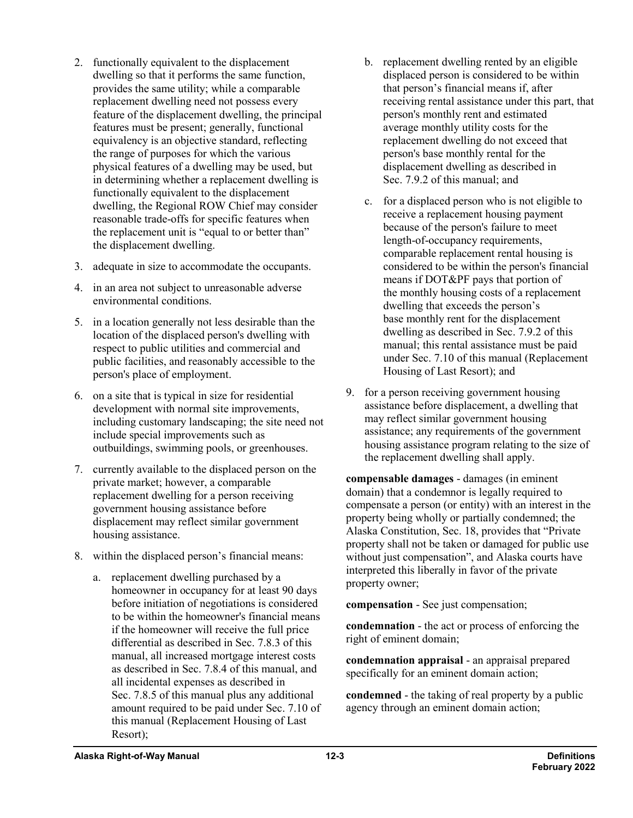- 2. functionally equivalent to the displacement dwelling so that it performs the same function, provides the same utility; while a comparable replacement dwelling need not possess every feature of the displacement dwelling, the principal features must be present; generally, functional equivalency is an objective standard, reflecting the range of purposes for which the various physical features of a dwelling may be used, but in determining whether a replacement dwelling is functionally equivalent to the displacement dwelling, the Regional ROW Chief may consider reasonable trade-offs for specific features when the replacement unit is "equal to or better than" the displacement dwelling.
- 3. adequate in size to accommodate the occupants.
- 4. in an area not subject to unreasonable adverse environmental conditions.
- 5. in a location generally not less desirable than the location of the displaced person's dwelling with respect to public utilities and commercial and public facilities, and reasonably accessible to the person's place of employment.
- 6. on a site that is typical in size for residential development with normal site improvements, including customary landscaping; the site need not include special improvements such as outbuildings, swimming pools, or greenhouses.
- 7. currently available to the displaced person on the private market; however, a comparable replacement dwelling for a person receiving government housing assistance before displacement may reflect similar government housing assistance.
- 8. within the displaced person's financial means:
	- a. replacement dwelling purchased by a homeowner in occupancy for at least 90 days before initiation of negotiations is considered to be within the homeowner's financial means if the homeowner will receive the full price differential as described in Sec. 7.8.3 of this manual, all increased mortgage interest costs as described in Sec. 7.8.4 of this manual, and all incidental expenses as described in Sec. 7.8.5 of this manual plus any additional amount required to be paid under Sec. 7.10 of this manual (Replacement Housing of Last Resort);
- b. replacement dwelling rented by an eligible displaced person is considered to be within that person's financial means if, after receiving rental assistance under this part, that person's monthly rent and estimated average monthly utility costs for the replacement dwelling do not exceed that person's base monthly rental for the displacement dwelling as described in Sec. 7.9.2 of this manual; and
- c. for a displaced person who is not eligible to receive a replacement housing payment because of the person's failure to meet length-of-occupancy requirements, comparable replacement rental housing is considered to be within the person's financial means if DOT&PF pays that portion of the monthly housing costs of a replacement dwelling that exceeds the person's base monthly rent for the displacement dwelling as described in Sec. 7.9.2 of this manual; this rental assistance must be paid under Sec. 7.10 of this manual (Replacement Housing of Last Resort); and
- 9. for a person receiving government housing assistance before displacement, a dwelling that may reflect similar government housing assistance; any requirements of the government housing assistance program relating to the size of the replacement dwelling shall apply.

**compensable damages** - damages (in eminent domain) that a condemnor is legally required to compensate a person (or entity) with an interest in the property being wholly or partially condemned; the Alaska Constitution, Sec. 18, provides that "Private property shall not be taken or damaged for public use without just compensation", and Alaska courts have interpreted this liberally in favor of the private property owner;

**compensation** - See just compensation;

**condemnation** - the act or process of enforcing the right of eminent domain;

**condemnation appraisal** - an appraisal prepared specifically for an eminent domain action;

**condemned** - the taking of real property by a public agency through an eminent domain action;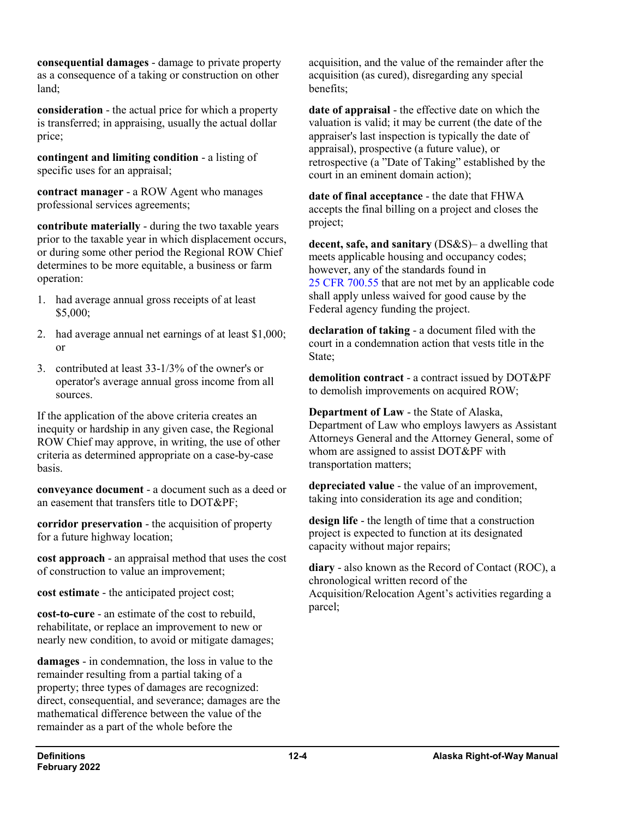**consequential damages** - damage to private property as a consequence of a taking or construction on other land;

**consideration** - the actual price for which a property is transferred; in appraising, usually the actual dollar price;

**contingent and limiting condition** - a listing of specific uses for an appraisal;

**contract manager** - a ROW Agent who manages professional services agreements;

**contribute materially** - during the two taxable years prior to the taxable year in which displacement occurs, or during some other period the Regional ROW Chief determines to be more equitable, a business or farm operation:

- 1. had average annual gross receipts of at least \$5,000;
- 2. had average annual net earnings of at least \$1,000; or
- 3. contributed at least 33-1/3% of the owner's or operator's average annual gross income from all sources.

If the application of the above criteria creates an inequity or hardship in any given case, the Regional ROW Chief may approve, in writing, the use of other criteria as determined appropriate on a case-by-case basis.

**conveyance document** - a document such as a deed or an easement that transfers title to DOT&PF;

**corridor preservation** - the acquisition of property for a future highway location;

**cost approach** - an appraisal method that uses the cost of construction to value an improvement;

**cost estimate** - the anticipated project cost;

**cost-to-cure** - an estimate of the cost to rebuild, rehabilitate, or replace an improvement to new or nearly new condition, to avoid or mitigate damages;

**damages** - in condemnation, the loss in value to the remainder resulting from a partial taking of a property; three types of damages are recognized: direct, consequential, and severance; damages are the mathematical difference between the value of the remainder as a part of the whole before the

acquisition, and the value of the remainder after the acquisition (as cured), disregarding any special benefits;

**date of appraisal** - the effective date on which the valuation is valid; it may be current (the date of the appraiser's last inspection is typically the date of appraisal), prospective (a future value), or retrospective (a "Date of Taking" established by the court in an eminent domain action);

**date of final acceptance** - the date that FHWA accepts the final billing on a project and closes the project;

**decent, safe, and sanitary** (DS&S)– a dwelling that meets applicable housing and occupancy codes; however, any of the standards found in 25 CFR [700.55](https://www.ecfr.gov/cgi-bin/text-idx?SID=69210ee03a27595a975f1e1a0fb763e5&mc=true&node=se25.2.700_155&rgn=div8) that are not met by an applicable code shall apply unless waived for good cause by the Federal agency funding the project.

**declaration of taking** - a document filed with the court in a condemnation action that vests title in the State;

**demolition contract** - a contract issued by DOT&PF to demolish improvements on acquired ROW;

**Department of Law** - the State of Alaska, Department of Law who employs lawyers as Assistant Attorneys General and the Attorney General, some of whom are assigned to assist DOT&PF with transportation matters;

**depreciated value** - the value of an improvement, taking into consideration its age and condition;

**design life** - the length of time that a construction project is expected to function at its designated capacity without major repairs;

**diary** - also known as the Record of Contact (ROC), a chronological written record of the Acquisition/Relocation Agent's activities regarding a parcel;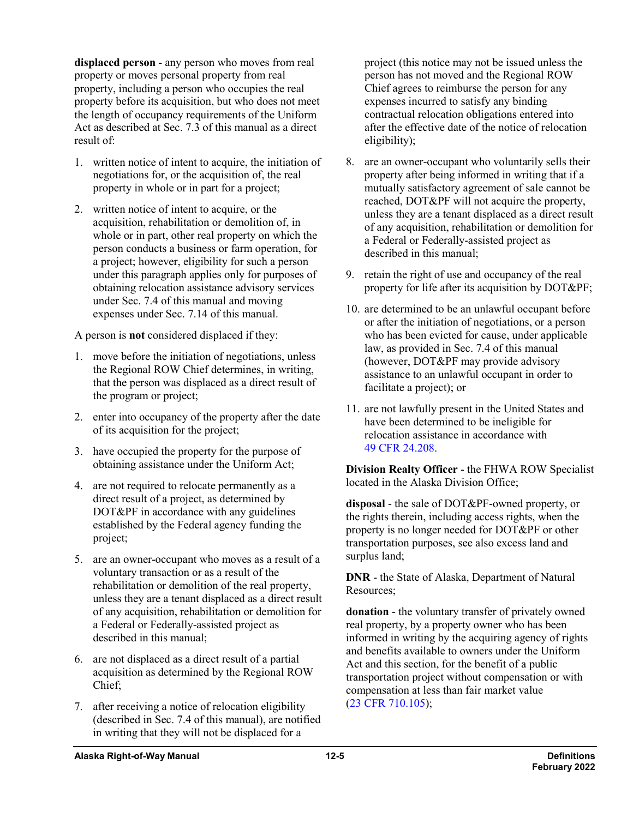**displaced person** - any person who moves from real property or moves personal property from real property, including a person who occupies the real property before its acquisition, but who does not meet the length of occupancy requirements of the Uniform Act as described at Sec. 7.3 of this manual as a direct result of:

- 1. written notice of intent to acquire, the initiation of negotiations for, or the acquisition of, the real property in whole or in part for a project;
- 2. written notice of intent to acquire, or the acquisition, rehabilitation or demolition of, in whole or in part, other real property on which the person conducts a business or farm operation, for a project; however, eligibility for such a person under this paragraph applies only for purposes of obtaining relocation assistance advisory services under Sec. 7.4 of this manual and moving expenses under Sec. 7.14 of this manual.

A person is **not** considered displaced if they:

- 1. move before the initiation of negotiations, unless the Regional ROW Chief determines, in writing, that the person was displaced as a direct result of the program or project;
- 2. enter into occupancy of the property after the date of its acquisition for the project;
- 3. have occupied the property for the purpose of obtaining assistance under the Uniform Act;
- 4. are not required to relocate permanently as a direct result of a project, as determined by DOT&PF in accordance with any guidelines established by the Federal agency funding the project;
- 5. are an owner-occupant who moves as a result of a voluntary transaction or as a result of the rehabilitation or demolition of the real property, unless they are a tenant displaced as a direct result of any acquisition, rehabilitation or demolition for a Federal or Federally-assisted project as described in this manual;
- 6. are not displaced as a direct result of a partial acquisition as determined by the Regional ROW Chief;
- 7. after receiving a notice of relocation eligibility (described in Sec. 7.4 of this manual), are notified in writing that they will not be displaced for a

project (this notice may not be issued unless the person has not moved and the Regional ROW Chief agrees to reimburse the person for any expenses incurred to satisfy any binding contractual relocation obligations entered into after the effective date of the notice of relocation eligibility);

- 8. are an owner-occupant who voluntarily sells their property after being informed in writing that if a mutually satisfactory agreement of sale cannot be reached, DOT&PF will not acquire the property, unless they are a tenant displaced as a direct result of any acquisition, rehabilitation or demolition for a Federal or Federally-assisted project as described in this manual;
- 9. retain the right of use and occupancy of the real property for life after its acquisition by DOT&PF;
- 10. are determined to be an unlawful occupant before or after the initiation of negotiations, or a person who has been evicted for cause, under applicable law, as provided in Sec. 7.4 of this manual (however, DOT&PF may provide advisory assistance to an unlawful occupant in order to facilitate a project); or
- 11. are not lawfully present in the United States and have been determined to be ineligible for relocation assistance in accordance with 49 CFR [24.208.](https://www.ecfr.gov/cgi-bin/text-idx?SID=69210ee03a27595a975f1e1a0fb763e5&mc=true&node=pt49.1.24&rgn=div5#se49.1.24_1208)

**Division Realty Officer** - the FHWA ROW Specialist located in the Alaska Division Office;

**disposal** - the sale of DOT&PF-owned property, or the rights therein, including access rights, when the property is no longer needed for DOT&PF or other transportation purposes, see also excess land and surplus land;

**DNR** - the State of Alaska, Department of Natural Resources;

**donation** - the voluntary transfer of privately owned real property, by a property owner who has been informed in writing by the acquiring agency of rights and benefits available to owners under the Uniform Act and this section, for the benefit of a public transportation project without compensation or with compensation at less than fair market value (23 CFR [710.105\)](https://www.ecfr.gov/cgi-bin/retrieveECFR?gp=&SID=8ada7989856c65ac42c423feb4d3e94a&mc=true&n=pt23.1.710&r=PART&ty=HTML#se23.1.710_1105);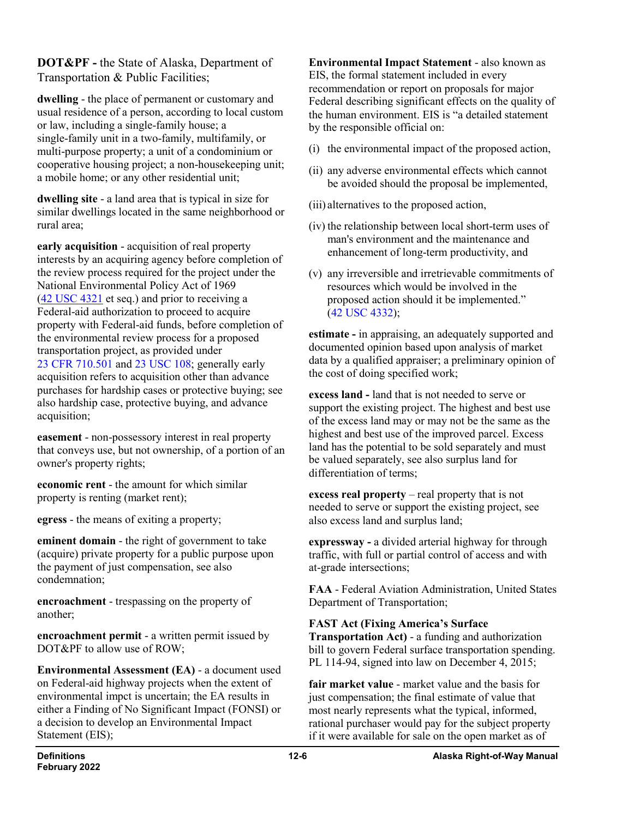**DOT&PF -** the State of Alaska, Department of Transportation & Public Facilities;

**dwelling** - the place of permanent or customary and usual residence of a person, according to local custom or law, including a single-family house; a single-family unit in a two-family, multifamily, or multi-purpose property; a unit of a condominium or cooperative housing project; a non-housekeeping unit; a mobile home; or any other residential unit;

**dwelling site** - a land area that is typical in size for similar dwellings located in the same neighborhood or rural area;

**early acquisition** - acquisition of real property interests by an acquiring agency before completion of the review process required for the project under the National Environmental Policy Act of 1969 (42 USC [4321](http://uscode.house.gov/view.xhtml?req=(title:42%20section:4321%20edition:prelim)) et seq.) and prior to receiving a Federal-aid authorization to proceed to acquire property with Federal-aid funds, before completion of the environmental review process for a proposed transportation project, as provided under 23 CFR [710.501](https://www.ecfr.gov/cgi-bin/text-idx?SID=9ab38b263f1cf4c85bb1cd3c6a3690eb&node=pt23.1.710&rgn=div5) and 23 [USC](http://uscode.house.gov/view.xhtml?req=(title:23%20section:108%20edition:prelim)%20OR%20(granuleid:USC-prelim-title23-section108)&f=treesort&edition=prelim&num=0&jumpTo=true) 108; generally early acquisition refers to acquisition other than advance purchases for hardship cases or protective buying; see also hardship case, protective buying, and advance acquisition;

**easement** - non-possessory interest in real property that conveys use, but not ownership, of a portion of an owner's property rights;

**economic rent** - the amount for which similar property is renting (market rent);

**egress** - the means of exiting a property;

**eminent domain** - the right of government to take (acquire) private property for a public purpose upon the payment of just compensation, see also condemnation;

**encroachment** - trespassing on the property of another;

**encroachment permit** - a written permit issued by DOT&PF to allow use of ROW;

**Environmental Assessment (EA)** - a document used on Federal-aid highway projects when the extent of environmental impct is uncertain; the EA results in either a Finding of No Significant Impact (FONSI) or a decision to develop an Environmental Impact Statement (EIS);

**Environmental Impact Statement** - also known as EIS, the formal statement included in every recommendation or report on proposals for major Federal describing significant effects on the quality of the human environment. EIS is "a detailed statement by the responsible official on:

- (i) the environmental impact of the proposed action,
- (ii) any adverse environmental effects which cannot be avoided should the proposal be implemented,
- (iii) alternatives to the proposed action,
- (iv) the relationship between local short-term uses of man's environment and the maintenance and enhancement of long-term productivity, and
- (v) any irreversible and irretrievable commitments of resources which would be involved in the proposed action should it be implemented." (42 USC [4332\)](http://uscode.house.gov/view.xhtml?req=(title:42%20section:4332%20edition:prelim)%20OR%20(granuleid:USC-prelim-title42-section4332)&f=treesort&num=0&edition=prelim);

**estimate -** in appraising, an adequately supported and documented opinion based upon analysis of market data by a qualified appraiser; a preliminary opinion of the cost of doing specified work;

**excess land -** land that is not needed to serve or support the existing project. The highest and best use of the excess land may or may not be the same as the highest and best use of the improved parcel. Excess land has the potential to be sold separately and must be valued separately, see also surplus land for differentiation of terms;

**excess real property** – real property that is not needed to serve or support the existing project, see also excess land and surplus land;

**expressway -** a divided arterial highway for through traffic, with full or partial control of access and with at-grade intersections;

**FAA** - Federal Aviation Administration, United States Department of Transportation;

## **FAST Act (Fixing America's Surface**

**Transportation Act)** - a funding and authorization bill to govern Federal surface transportation spending. PL 114-94, signed into law on December 4, 2015;

**fair market value** - market value and the basis for just compensation; the final estimate of value that most nearly represents what the typical, informed, rational purchaser would pay for the subject property if it were available for sale on the open market as of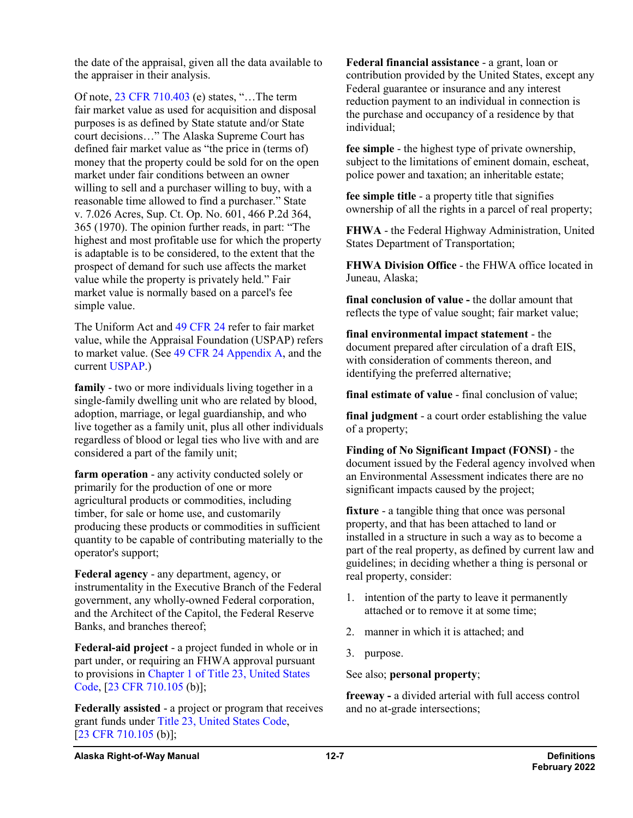the date of the appraisal, given all the data available to the appraiser in their analysis.

Of note, 23 CFR [710.403](https://www.ecfr.gov/cgi-bin/text-idx?SID=9ab38b263f1cf4c85bb1cd3c6a3690eb&node=pt23.1.710&rgn=div5#se23.1.710_1403) (e) states, "…The term fair market value as used for acquisition and disposal purposes is as defined by State statute and/or State court decisions…" The Alaska Supreme Court has defined fair market value as "the price in (terms of) money that the property could be sold for on the open market under fair conditions between an owner willing to sell and a purchaser willing to buy, with a reasonable time allowed to find a purchaser." State v. 7.026 Acres, Sup. Ct. Op. No. 601, 466 P.2d 364, 365 (1970). The opinion further reads, in part: "The highest and most profitable use for which the property is adaptable is to be considered, to the extent that the prospect of demand for such use affects the market value while the property is privately held." Fair market value is normally based on a parcel's fee simple value.

The Uniform Act and 49 [CFR](https://www.ecfr.gov/cgi-bin/text-idx?SID=d2dcd0fdc871adf1e64e025dfd6a6a13&mc=true&tpl=/ecfrbrowse/Title49/49cfr24_main_02.tpl) 24 refer to fair market value, while the Appraisal Foundation (USPAP) refers to market value. (See 49 CFR [24 Appendix](https://www.ecfr.gov/cgi-bin/text-idx?SID=d2dcd0fdc871adf1e64e025dfd6a6a13&mc=true&node=ap49.1.24_1603.a&rgn=div9) A, and the current [USPAP.](https://appraisalfoundation.org/))

**family** - two or more individuals living together in a single-family dwelling unit who are related by blood, adoption, marriage, or legal guardianship, and who live together as a family unit, plus all other individuals regardless of blood or legal ties who live with and are considered a part of the family unit;

**farm operation** - any activity conducted solely or primarily for the production of one or more agricultural products or commodities, including timber, for sale or home use, and customarily producing these products or commodities in sufficient quantity to be capable of contributing materially to the operator's support;

**Federal agency** - any department, agency, or instrumentality in the Executive Branch of the Federal government, any wholly-owned Federal corporation, and the Architect of the Capitol, the Federal Reserve Banks, and branches thereof;

**Federal-aid project** - a project funded in whole or in part under, or requiring an FHWA approval pursuant to provisions in Chapter 1 of Title [23, United States](http://uscode.house.gov/view.xhtml?path=/prelim@title23/chapter1&edition=prelim)  [Code,](http://uscode.house.gov/view.xhtml?path=/prelim@title23/chapter1&edition=prelim) [23 CFR [710.105](https://www.ecfr.gov/cgi-bin/text-idx?SID=86bdd2c46851794acc20f97698699765&mc=true&node=se23.1.710_1105&rgn=div8) (b)];

**Federally assisted** - a project or program that receives grant funds under Title [23, United States Code,](http://uscode.house.gov/view.xhtml?path=/prelim@title23&edition=prelim) [23 CFR [710.105](https://www.ecfr.gov/cgi-bin/text-idx?SID=86bdd2c46851794acc20f97698699765&mc=true&node=se23.1.710_1105&rgn=div8) (b)];

**Federal financial assistance** - a grant, loan or contribution provided by the United States, except any Federal guarantee or insurance and any interest reduction payment to an individual in connection is the purchase and occupancy of a residence by that individual;

**fee simple** - the highest type of private ownership, subject to the limitations of eminent domain, escheat, police power and taxation; an inheritable estate;

**fee simple title** - a property title that signifies ownership of all the rights in a parcel of real property;

**FHWA** - the Federal Highway Administration, United States Department of Transportation;

**FHWA Division Office** - the FHWA office located in Juneau, Alaska;

**final conclusion of value -** the dollar amount that reflects the type of value sought; fair market value;

**final environmental impact statement** - the document prepared after circulation of a draft EIS, with consideration of comments thereon, and identifying the preferred alternative;

**final estimate of value** - final conclusion of value;

**final judgment** - a court order establishing the value of a property;

**Finding of No Significant Impact (FONSI)** - the document issued by the Federal agency involved when an Environmental Assessment indicates there are no significant impacts caused by the project;

**fixture** - a tangible thing that once was personal property, and that has been attached to land or installed in a structure in such a way as to become a part of the real property, as defined by current law and guidelines; in deciding whether a thing is personal or real property, consider:

- 1. intention of the party to leave it permanently attached or to remove it at some time;
- 2. manner in which it is attached; and
- 3. purpose.

See also; **personal property**;

**freeway -** a divided arterial with full access control and no at-grade intersections;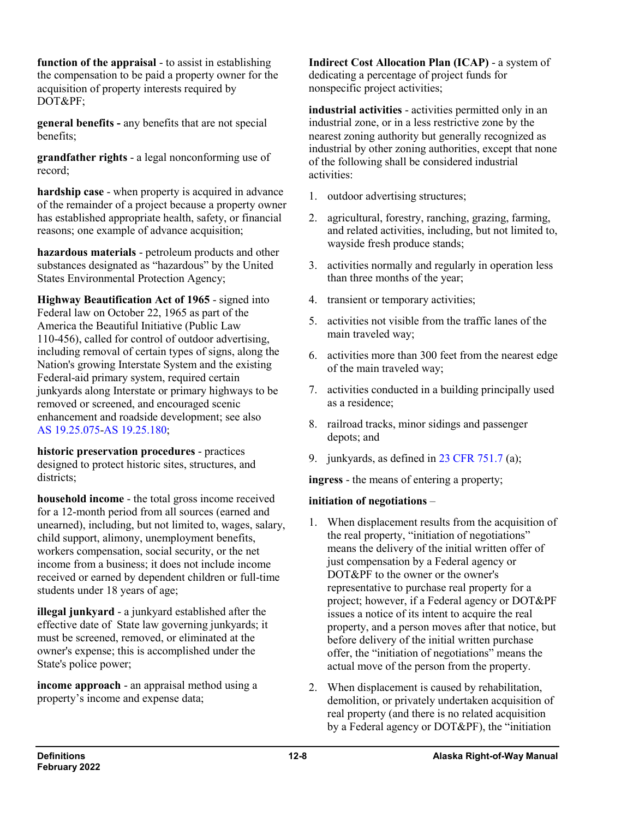**function of the appraisal** - to assist in establishing the compensation to be paid a property owner for the acquisition of property interests required by DOT&PF;

**general benefits -** any benefits that are not special benefits;

**grandfather rights** - a legal nonconforming use of record;

**hardship case** - when property is acquired in advance of the remainder of a project because a property owner has established appropriate health, safety, or financial reasons; one example of advance acquisition;

**hazardous materials** - petroleum products and other substances designated as "hazardous" by the United States Environmental Protection Agency;

**Highway Beautification Act of 1965** - signed into Federal law on October 22, 1965 as part of the America the Beautiful Initiative (Public Law 110-456), called for control of outdoor advertising, including removal of certain types of signs, along the Nation's growing Interstate System and the existing Federal-aid primary system, required certain junkyards along Interstate or primary highways to be removed or screened, and encouraged scenic enhancement and roadside development; see also AS [19.25.075-](http://www.legis.state.ak.us/basis/statutes.asp#19.25.075)AS [19.25.180;](http://www.legis.state.ak.us/basis/statutes.asp#19.25.075)

**historic preservation procedures** - practices designed to protect historic sites, structures, and districts:

**household income** - the total gross income received for a 12-month period from all sources (earned and unearned), including, but not limited to, wages, salary, child support, alimony, unemployment benefits, workers compensation, social security, or the net income from a business; it does not include income received or earned by dependent children or full-time students under 18 years of age;

**illegal junkyard** - a junkyard established after the effective date of State law governing junkyards; it must be screened, removed, or eliminated at the owner's expense; this is accomplished under the State's police power;

**income approach** - an appraisal method using a property's income and expense data;

**Indirect Cost Allocation Plan (ICAP)** - a system of dedicating a percentage of project funds for nonspecific project activities;

**industrial activities** - activities permitted only in an industrial zone, or in a less restrictive zone by the nearest zoning authority but generally recognized as industrial by other zoning authorities, except that none of the following shall be considered industrial activities:

- 1. outdoor advertising structures;
- 2. agricultural, forestry, ranching, grazing, farming, and related activities, including, but not limited to, wayside fresh produce stands;
- 3. activities normally and regularly in operation less than three months of the year;
- 4. transient or temporary activities;
- 5. activities not visible from the traffic lanes of the main traveled way;
- 6. activities more than 300 feet from the nearest edge of the main traveled way;
- 7. activities conducted in a building principally used as a residence;
- 8. railroad tracks, minor sidings and passenger depots; and
- 9. junkyards, as defined in 23 CFR [751.7](https://www.ecfr.gov/cgi-bin/text-idx?SID=57e39fb70fdf79120799588a8180fca4&mc=true&node=se23.1.751_17&rgn=div8) (a);

**ingress** - the means of entering a property;

## **initiation of negotiations** –

- 1. When displacement results from the acquisition of the real property, "initiation of negotiations" means the delivery of the initial written offer of just compensation by a Federal agency or DOT&PF to the owner or the owner's representative to purchase real property for a project; however, if a Federal agency or DOT&PF issues a notice of its intent to acquire the real property, and a person moves after that notice, but before delivery of the initial written purchase offer, the "initiation of negotiations" means the actual move of the person from the property.
- 2. When displacement is caused by rehabilitation, demolition, or privately undertaken acquisition of real property (and there is no related acquisition by a Federal agency or DOT&PF), the "initiation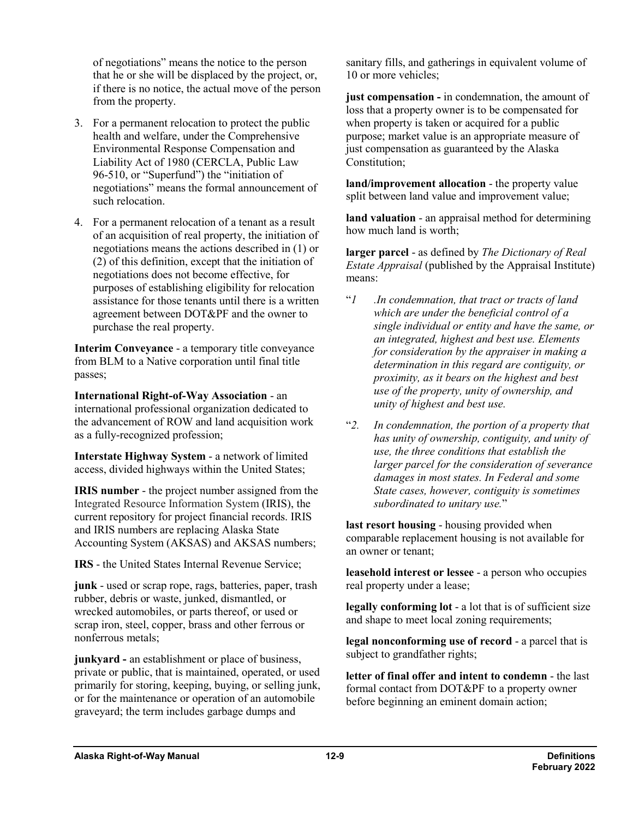of negotiations" means the notice to the person that he or she will be displaced by the project, or, if there is no notice, the actual move of the person from the property.

- 3. For a permanent relocation to protect the public health and welfare, under the Comprehensive Environmental Response Compensation and Liability Act of 1980 (CERCLA, Public Law 96-510, or "Superfund") the "initiation of negotiations" means the formal announcement of such relocation.
- 4. For a permanent relocation of a tenant as a result of an acquisition of real property, the initiation of negotiations means the actions described in (1) or (2) of this definition, except that the initiation of negotiations does not become effective, for purposes of establishing eligibility for relocation assistance for those tenants until there is a written agreement between DOT&PF and the owner to purchase the real property.

**Interim Conveyance** - a temporary title conveyance from BLM to a Native corporation until final title passes;

**International Right-of-Way Association** - an international professional organization dedicated to the advancement of ROW and land acquisition work as a fully-recognized profession;

**Interstate Highway System** - a network of limited access, divided highways within the United States;

**IRIS number** - the project number assigned from the Integrated Resource Information System (IRIS), the current repository for project financial records. IRIS and IRIS numbers are replacing Alaska State Accounting System (AKSAS) and AKSAS numbers;

**IRS** - the United States Internal Revenue Service;

**junk** - used or scrap rope, rags, batteries, paper, trash rubber, debris or waste, junked, dismantled, or wrecked automobiles, or parts thereof, or used or scrap iron, steel, copper, brass and other ferrous or nonferrous metals;

**junkyard -** an establishment or place of business, private or public, that is maintained, operated, or used primarily for storing, keeping, buying, or selling junk, or for the maintenance or operation of an automobile graveyard; the term includes garbage dumps and

sanitary fills, and gatherings in equivalent volume of 10 or more vehicles;

**just compensation -** in condemnation, the amount of loss that a property owner is to be compensated for when property is taken or acquired for a public purpose; market value is an appropriate measure of just compensation as guaranteed by the Alaska Constitution;

**land/improvement allocation** - the property value split between land value and improvement value;

**land valuation** - an appraisal method for determining how much land is worth;

**larger parcel** - as defined by *The Dictionary of Real Estate Appraisal* (published by the Appraisal Institute) means:

- "*1 .In condemnation, that tract or tracts of land which are under the beneficial control of a single individual or entity and have the same, or an integrated, highest and best use. Elements for consideration by the appraiser in making a determination in this regard are contiguity, or proximity, as it bears on the highest and best use of the property, unity of ownership, and unity of highest and best use.*
- "*2. In condemnation, the portion of a property that has unity of ownership, contiguity, and unity of use, the three conditions that establish the larger parcel for the consideration of severance damages in most states. In Federal and some State cases, however, contiguity is sometimes subordinated to unitary use.*"

**last resort housing** - housing provided when comparable replacement housing is not available for an owner or tenant;

**leasehold interest or lessee** - a person who occupies real property under a lease;

**legally conforming lot** - a lot that is of sufficient size and shape to meet local zoning requirements;

**legal nonconforming use of record** - a parcel that is subject to grandfather rights;

**letter of final offer and intent to condemn** - the last formal contact from DOT&PF to a property owner before beginning an eminent domain action;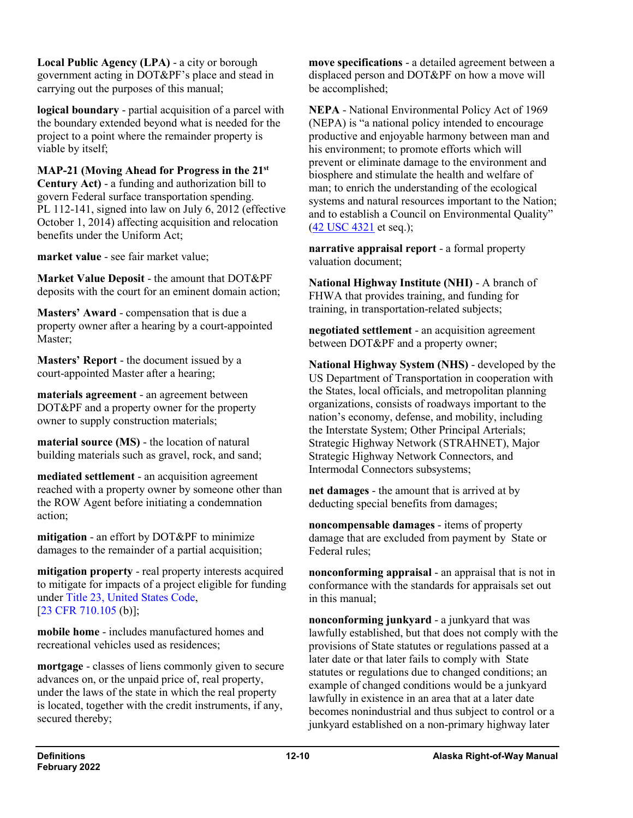**Local Public Agency (LPA)** - a city or borough government acting in DOT&PF's place and stead in carrying out the purposes of this manual;

**logical boundary** - partial acquisition of a parcel with the boundary extended beyond what is needed for the project to a point where the remainder property is viable by itself;

**MAP-21 (Moving Ahead for Progress in the 21st Century Act)** - a funding and authorization bill to govern Federal surface transportation spending. PL 112-141, signed into law on July 6, 2012 (effective October 1, 2014) affecting acquisition and relocation benefits under the Uniform Act;

**market value** - see fair market value;

**Market Value Deposit** - the amount that DOT&PF deposits with the court for an eminent domain action;

**Masters' Award** - compensation that is due a property owner after a hearing by a court-appointed Master;

**Masters' Report** - the document issued by a court-appointed Master after a hearing;

**materials agreement** - an agreement between DOT&PF and a property owner for the property owner to supply construction materials;

**material source (MS)** - the location of natural building materials such as gravel, rock, and sand;

**mediated settlement** - an acquisition agreement reached with a property owner by someone other than the ROW Agent before initiating a condemnation action;

**mitigation** - an effort by DOT&PF to minimize damages to the remainder of a partial acquisition;

**mitigation property** - real property interests acquired to mitigate for impacts of a project eligible for funding under Title [23, United States Code,](http://uscode.house.gov/view.xhtml?path=/prelim@title23&edition=prelim) [23 CFR [710.105](https://www.ecfr.gov/cgi-bin/text-idx?SID=86bdd2c46851794acc20f97698699765&mc=true&node=se23.1.710_1105&rgn=div8) (b)];

**mobile home** - includes manufactured homes and recreational vehicles used as residences;

**mortgage** - classes of liens commonly given to secure advances on, or the unpaid price of, real property, under the laws of the state in which the real property is located, together with the credit instruments, if any, secured thereby;

**move specifications** - a detailed agreement between a displaced person and DOT&PF on how a move will be accomplished;

**NEPA** - National Environmental Policy Act of 1969 (NEPA) is "a national policy intended to encourage productive and enjoyable harmony between man and his environment; to promote efforts which will prevent or eliminate damage to the environment and biosphere and stimulate the health and welfare of man; to enrich the understanding of the ecological systems and natural resources important to the Nation; and to establish a Council on Environmental Quality" (42 USC [4321](http://uscode.house.gov/view.xhtml?req=(title:42%20section:4321%20edition:prelim)) et seq.);

**narrative appraisal report** - a formal property valuation document;

**National Highway Institute (NHI)** - A branch of FHWA that provides training, and funding for training, in transportation-related subjects;

**negotiated settlement** - an acquisition agreement between DOT&PF and a property owner;

**National Highway System (NHS)** - developed by the US Department of Transportation in cooperation with the States, local officials, and metropolitan planning organizations, consists of roadways important to the nation's economy, defense, and mobility, including the Interstate System; Other Principal Arterials; Strategic Highway Network (STRAHNET), Major Strategic Highway Network Connectors, and Intermodal Connectors subsystems;

**net damages** - the amount that is arrived at by deducting special benefits from damages;

**noncompensable damages** - items of property damage that are excluded from payment by State or Federal rules;

**nonconforming appraisal** - an appraisal that is not in conformance with the standards for appraisals set out in this manual;

**nonconforming junkyard** - a junkyard that was lawfully established, but that does not comply with the provisions of State statutes or regulations passed at a later date or that later fails to comply with State statutes or regulations due to changed conditions; an example of changed conditions would be a junkyard lawfully in existence in an area that at a later date becomes nonindustrial and thus subject to control or a junkyard established on a non-primary highway later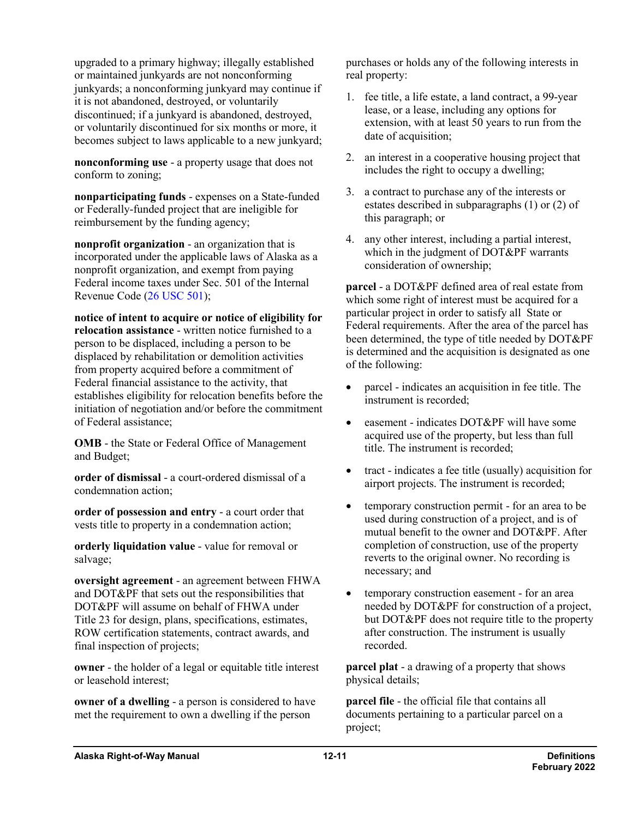upgraded to a primary highway; illegally established or maintained junkyards are not nonconforming junkyards; a nonconforming junkyard may continue if it is not abandoned, destroyed, or voluntarily discontinued; if a junkyard is abandoned, destroyed, or voluntarily discontinued for six months or more, it becomes subject to laws applicable to a new junkyard;

**nonconforming use** - a property usage that does not conform to zoning;

**nonparticipating funds** - expenses on a State-funded or Federally-funded project that are ineligible for reimbursement by the funding agency;

**nonprofit organization** - an organization that is incorporated under the applicable laws of Alaska as a nonprofit organization, and exempt from paying Federal income taxes under Sec. 501 of the Internal Revenue Code (26 [USC](http://uscode.house.gov/view.xhtml?req=(title:26%20section:501%20edition:prelim)%20OR%20(granuleid:USC-prelim-title26-section501)&f=treesort&edition=prelim&num=0&jumpTo=true) 501);

**notice of intent to acquire or notice of eligibility for relocation assistance** - written notice furnished to a person to be displaced, including a person to be displaced by rehabilitation or demolition activities from property acquired before a commitment of Federal financial assistance to the activity, that establishes eligibility for relocation benefits before the initiation of negotiation and/or before the commitment of Federal assistance;

**OMB** - the State or Federal Office of Management and Budget;

**order of dismissal** - a court-ordered dismissal of a condemnation action;

**order of possession and entry** - a court order that vests title to property in a condemnation action;

**orderly liquidation value** - value for removal or salvage;

**oversight agreement** - an agreement between FHWA and DOT&PF that sets out the responsibilities that DOT&PF will assume on behalf of FHWA under Title 23 for design, plans, specifications, estimates, ROW certification statements, contract awards, and final inspection of projects;

**owner** - the holder of a legal or equitable title interest or leasehold interest;

**owner of a dwelling** - a person is considered to have met the requirement to own a dwelling if the person

purchases or holds any of the following interests in real property:

- 1. fee title, a life estate, a land contract, a 99-year lease, or a lease, including any options for extension, with at least 50 years to run from the date of acquisition;
- 2. an interest in a cooperative housing project that includes the right to occupy a dwelling;
- 3. a contract to purchase any of the interests or estates described in subparagraphs (1) or (2) of this paragraph; or
- 4. any other interest, including a partial interest, which in the judgment of DOT&PF warrants consideration of ownership;

**parcel** - a DOT&PF defined area of real estate from which some right of interest must be acquired for a particular project in order to satisfy all State or Federal requirements. After the area of the parcel has been determined, the type of title needed by DOT&PF is determined and the acquisition is designated as one of the following:

- parcel indicates an acquisition in fee title. The instrument is recorded;
- easement indicates DOT&PF will have some acquired use of the property, but less than full title. The instrument is recorded;
- tract indicates a fee title (usually) acquisition for airport projects. The instrument is recorded;
- temporary construction permit for an area to be used during construction of a project, and is of mutual benefit to the owner and DOT&PF. After completion of construction, use of the property reverts to the original owner. No recording is necessary; and
- temporary construction easement for an area needed by DOT&PF for construction of a project, but DOT&PF does not require title to the property after construction. The instrument is usually recorded.

**parcel plat** - a drawing of a property that shows physical details;

**parcel file** - the official file that contains all documents pertaining to a particular parcel on a project;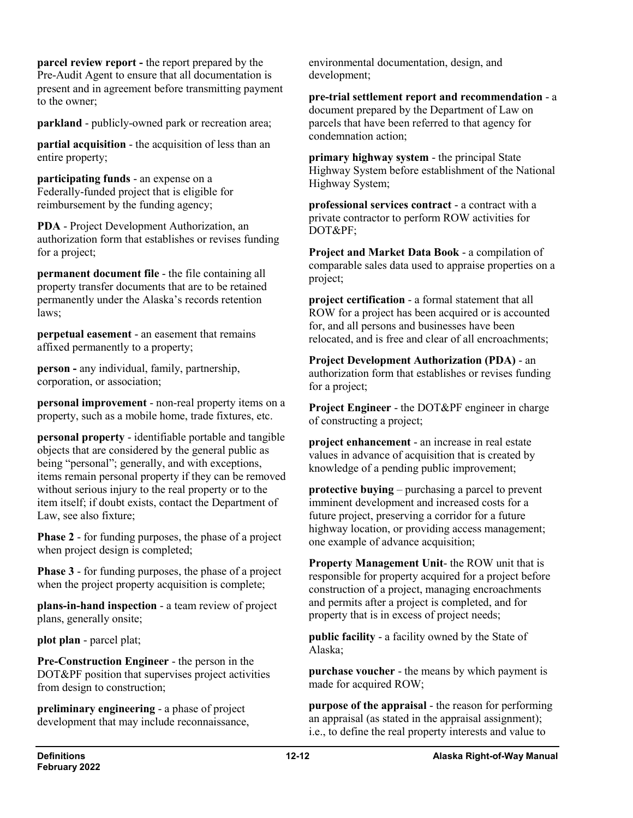**parcel review report** - the report prepared by the Pre-Audit Agent to ensure that all documentation is present and in agreement before transmitting payment to the owner;

**parkland** - publicly-owned park or recreation area;

**partial acquisition** - the acquisition of less than an entire property;

**participating funds** - an expense on a Federally-funded project that is eligible for reimbursement by the funding agency;

**PDA** - Project Development Authorization, an authorization form that establishes or revises funding for a project;

**permanent document file** - the file containing all property transfer documents that are to be retained permanently under the Alaska's records retention laws;

**perpetual easement** - an easement that remains affixed permanently to a property;

**person -** any individual, family, partnership, corporation, or association;

**personal improvement** - non-real property items on a property, such as a mobile home, trade fixtures, etc.

**personal property** - identifiable portable and tangible objects that are considered by the general public as being "personal"; generally, and with exceptions, items remain personal property if they can be removed without serious injury to the real property or to the item itself; if doubt exists, contact the Department of Law, see also fixture;

**Phase 2** - for funding purposes, the phase of a project when project design is completed;

**Phase 3** - for funding purposes, the phase of a project when the project property acquisition is complete;

**plans-in-hand inspection** - a team review of project plans, generally onsite;

**plot plan** - parcel plat;

**Pre-Construction Engineer** - the person in the DOT&PF position that supervises project activities from design to construction;

**preliminary engineering** - a phase of project development that may include reconnaissance,

environmental documentation, design, and development;

**pre-trial settlement report and recommendation** - a document prepared by the Department of Law on parcels that have been referred to that agency for condemnation action;

**primary highway system** - the principal State Highway System before establishment of the National Highway System;

**professional services contract** - a contract with a private contractor to perform ROW activities for DOT&PF;

**Project and Market Data Book** - a compilation of comparable sales data used to appraise properties on a project;

**project certification** - a formal statement that all ROW for a project has been acquired or is accounted for, and all persons and businesses have been relocated, and is free and clear of all encroachments;

**Project Development Authorization (PDA)** - an authorization form that establishes or revises funding for a project;

**Project Engineer** - the DOT&PF engineer in charge of constructing a project;

**project enhancement** - an increase in real estate values in advance of acquisition that is created by knowledge of a pending public improvement;

**protective buying** – purchasing a parcel to prevent imminent development and increased costs for a future project, preserving a corridor for a future highway location, or providing access management; one example of advance acquisition;

**Property Management Unit**- the ROW unit that is responsible for property acquired for a project before construction of a project, managing encroachments and permits after a project is completed, and for property that is in excess of project needs;

**public facility** - a facility owned by the State of Alaska;

**purchase voucher** - the means by which payment is made for acquired ROW;

**purpose of the appraisal** - the reason for performing an appraisal (as stated in the appraisal assignment); i.e., to define the real property interests and value to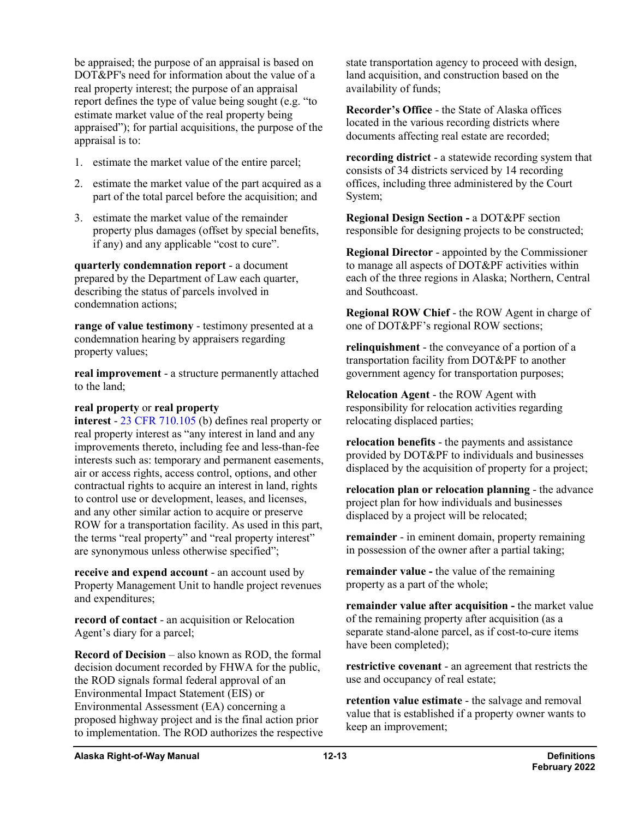be appraised; the purpose of an appraisal is based on DOT&PF's need for information about the value of a real property interest; the purpose of an appraisal report defines the type of value being sought (e.g. "to estimate market value of the real property being appraised"); for partial acquisitions, the purpose of the appraisal is to:

- 1. estimate the market value of the entire parcel;
- 2. estimate the market value of the part acquired as a part of the total parcel before the acquisition; and
- 3. estimate the market value of the remainder property plus damages (offset by special benefits, if any) and any applicable "cost to cure".

**quarterly condemnation report** - a document prepared by the Department of Law each quarter, describing the status of parcels involved in condemnation actions;

**range of value testimony** - testimony presented at a condemnation hearing by appraisers regarding property values;

**real improvement** - a structure permanently attached to the land;

## **real property** or **real property**

**interest** - 23 CFR [710.105](https://www.ecfr.gov/cgi-bin/text-idx?SID=86bdd2c46851794acc20f97698699765&mc=true&node=se23.1.710_1105&rgn=div8) (b) defines real property or real property interest as "any interest in land and any improvements thereto, including fee and less-than-fee interests such as: temporary and permanent easements, air or access rights, access control, options, and other contractual rights to acquire an interest in land, rights to control use or development, leases, and licenses, and any other similar action to acquire or preserve ROW for a transportation facility. As used in this part, the terms "real property" and "real property interest" are synonymous unless otherwise specified";

**receive and expend account** - an account used by Property Management Unit to handle project revenues and expenditures;

**record of contact** - an acquisition or Relocation Agent's diary for a parcel;

**Record of Decision** – also known as ROD, the formal decision document recorded by FHWA for the public, the ROD signals formal federal approval of an Environmental Impact Statement (EIS) or Environmental Assessment (EA) concerning a proposed highway project and is the final action prior to implementation. The ROD authorizes the respective state transportation agency to proceed with design, land acquisition, and construction based on the availability of funds;

**Recorder's Office** - the State of Alaska offices located in the various recording districts where documents affecting real estate are recorded;

**recording district** - a statewide recording system that consists of 34 districts serviced by 14 recording offices, including three administered by the Court System;

**Regional Design Section -** a DOT&PF section responsible for designing projects to be constructed;

**Regional Director** - appointed by the Commissioner to manage all aspects of DOT&PF activities within each of the three regions in Alaska; Northern, Central and Southcoast.

**Regional ROW Chief** - the ROW Agent in charge of one of DOT&PF's regional ROW sections;

**relinquishment** - the conveyance of a portion of a transportation facility from DOT&PF to another government agency for transportation purposes;

**Relocation Agent** - the ROW Agent with responsibility for relocation activities regarding relocating displaced parties;

**relocation benefits** - the payments and assistance provided by DOT&PF to individuals and businesses displaced by the acquisition of property for a project;

**relocation plan or relocation planning** - the advance project plan for how individuals and businesses displaced by a project will be relocated;

**remainder** - in eminent domain, property remaining in possession of the owner after a partial taking;

**remainder value -** the value of the remaining property as a part of the whole;

**remainder value after acquisition -** the market value of the remaining property after acquisition (as a separate stand-alone parcel, as if cost-to-cure items have been completed);

**restrictive covenant** - an agreement that restricts the use and occupancy of real estate;

**retention value estimate** - the salvage and removal value that is established if a property owner wants to keep an improvement;

**Alaska Right-of-Way Manual 12-13 Definitions**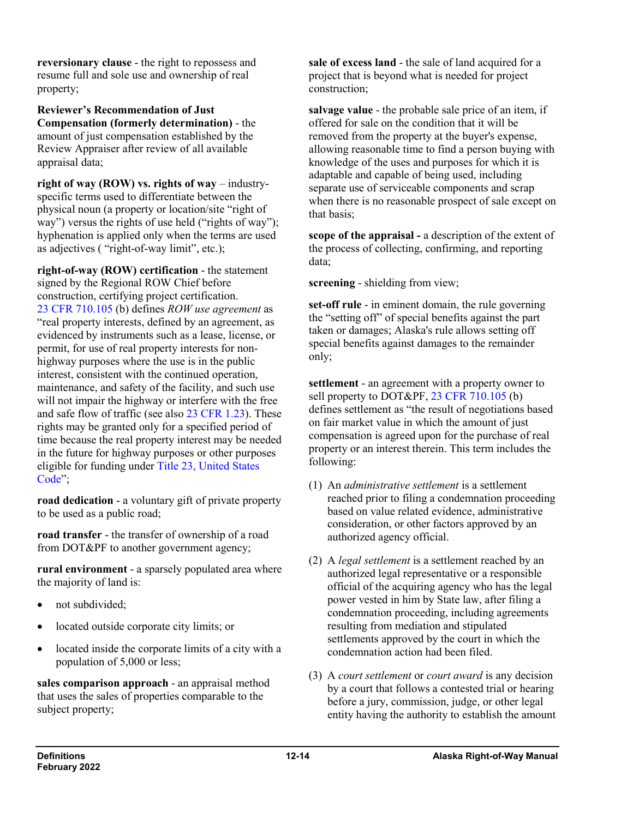**reversionary clause** - the right to repossess and resume full and sole use and ownership of real property;

**Reviewer's Recommendation of Just Compensation (formerly determination)** - the amount of just compensation established by the Review Appraiser after review of all available appraisal data;

**right of way (ROW) vs. rights of way** – industryspecific terms used to differentiate between the physical noun (a property or location/site "right of way") versus the rights of use held ("rights of way"); hyphenation is applied only when the terms are used as adjectives ( "right-of-way limit", etc.);

**right-of-way (ROW) certification** - the statement signed by the Regional ROW Chief before construction, certifying project certification. 23 CFR [710.105](https://www.ecfr.gov/cgi-bin/text-idx?SID=86bdd2c46851794acc20f97698699765&mc=true&node=se23.1.710_1105&rgn=div8) (b) defines *ROW use agreement* as "real property interests, defined by an agreement, as evidenced by instruments such as a lease, license, or permit, for use of real property interests for nonhighway purposes where the use is in the public interest, consistent with the continued operation, maintenance, and safety of the facility, and such use will not impair the highway or interfere with the free and safe flow of traffic (see also 23 CFR [1.23\)](https://www.ecfr.gov/cgi-bin/text-idx?SID=fc779314b1897d804fe6f300912060d6&mc=true&node=se23.1.1_123&rgn=div8). These rights may be granted only for a specified period of time because the real property interest may be needed in the future for highway purposes or other purposes eligible for funding under Title [23, United States](http://uscode.house.gov/view.xhtml?path=/prelim@title23&edition=prelim)  [Code"](http://uscode.house.gov/view.xhtml?path=/prelim@title23&edition=prelim);

**road dedication** - a voluntary gift of private property to be used as a public road;

**road transfer** - the transfer of ownership of a road from DOT&PF to another government agency;

**rural environment** - a sparsely populated area where the majority of land is:

- not subdivided:
- located outside corporate city limits; or
- located inside the corporate limits of a city with a population of 5,000 or less;

**sales comparison approach** - an appraisal method that uses the sales of properties comparable to the subject property;

**sale of excess land** - the sale of land acquired for a project that is beyond what is needed for project construction;

**salvage value** - the probable sale price of an item, if offered for sale on the condition that it will be removed from the property at the buyer's expense, allowing reasonable time to find a person buying with knowledge of the uses and purposes for which it is adaptable and capable of being used, including separate use of serviceable components and scrap when there is no reasonable prospect of sale except on that basis;

**scope of the appraisal -** a description of the extent of the process of collecting, confirming, and reporting data;

**screening** - shielding from view;

**set-off rule** - in eminent domain, the rule governing the "setting off" of special benefits against the part taken or damages; Alaska's rule allows setting off special benefits against damages to the remainder only;

**settlement** - an agreement with a property owner to sell property to DOT&PF, 23 CFR [710.105](https://www.ecfr.gov/cgi-bin/text-idx?SID=86bdd2c46851794acc20f97698699765&mc=true&node=se23.1.710_1105&rgn=div8) (b) defines settlement as "the result of negotiations based on fair market value in which the amount of just compensation is agreed upon for the purchase of real property or an interest therein. This term includes the following:

- (1) An *administrative settlement* is a settlement reached prior to filing a condemnation proceeding based on value related evidence, administrative consideration, or other factors approved by an authorized agency official.
- (2) A *legal settlement* is a settlement reached by an authorized legal representative or a responsible official of the acquiring agency who has the legal power vested in him by State law, after filing a condemnation proceeding, including agreements resulting from mediation and stipulated settlements approved by the court in which the condemnation action had been filed.
- (3) A *court settlement* or *court award* is any decision by a court that follows a contested trial or hearing before a jury, commission, judge, or other legal entity having the authority to establish the amount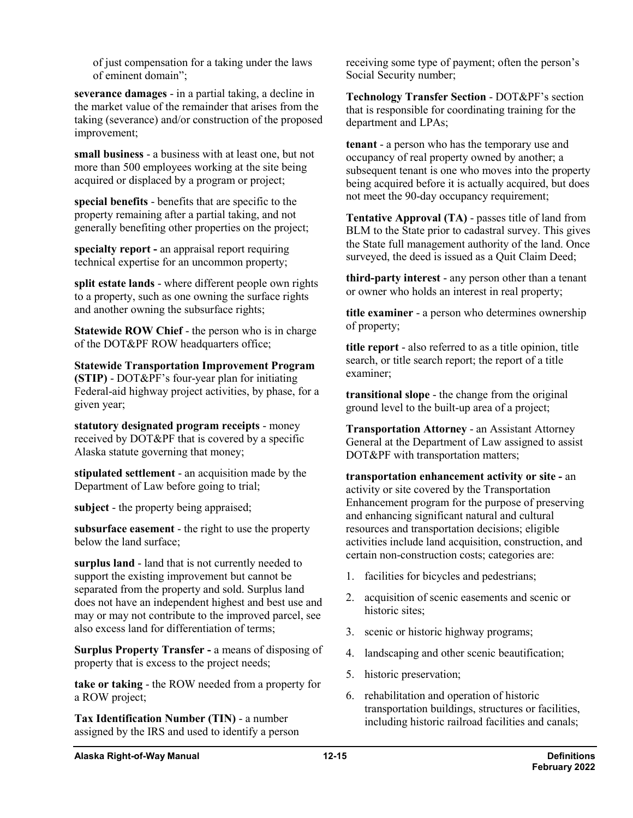of just compensation for a taking under the laws of eminent domain";

**severance damages** - in a partial taking, a decline in the market value of the remainder that arises from the taking (severance) and/or construction of the proposed improvement;

**small business** - a business with at least one, but not more than 500 employees working at the site being acquired or displaced by a program or project;

**special benefits** - benefits that are specific to the property remaining after a partial taking, and not generally benefiting other properties on the project;

**specialty report -** an appraisal report requiring technical expertise for an uncommon property;

**split estate lands** - where different people own rights to a property, such as one owning the surface rights and another owning the subsurface rights;

**Statewide ROW Chief** - the person who is in charge of the DOT&PF ROW headquarters office;

**Statewide Transportation Improvement Program (STIP)** - DOT&PF's four-year plan for initiating Federal-aid highway project activities, by phase, for a given year;

**statutory designated program receipts** - money received by DOT&PF that is covered by a specific Alaska statute governing that money;

**stipulated settlement** - an acquisition made by the Department of Law before going to trial;

**subject** - the property being appraised;

**subsurface easement** - the right to use the property below the land surface;

**surplus land** - land that is not currently needed to support the existing improvement but cannot be separated from the property and sold. Surplus land does not have an independent highest and best use and may or may not contribute to the improved parcel, see also excess land for differentiation of terms;

**Surplus Property Transfer -** a means of disposing of property that is excess to the project needs;

**take or taking** - the ROW needed from a property for a ROW project;

**Tax Identification Number (TIN)** - a number assigned by the IRS and used to identify a person receiving some type of payment; often the person's Social Security number;

**Technology Transfer Section** - DOT&PF's section that is responsible for coordinating training for the department and LPAs;

**tenant** - a person who has the temporary use and occupancy of real property owned by another; a subsequent tenant is one who moves into the property being acquired before it is actually acquired, but does not meet the 90-day occupancy requirement;

**Tentative Approval (TA)** - passes title of land from BLM to the State prior to cadastral survey. This gives the State full management authority of the land. Once surveyed, the deed is issued as a Quit Claim Deed;

**third-party interest** - any person other than a tenant or owner who holds an interest in real property;

**title examiner** - a person who determines ownership of property;

**title report** - also referred to as a title opinion, title search, or title search report; the report of a title examiner;

**transitional slope** - the change from the original ground level to the built-up area of a project;

**Transportation Attorney** - an Assistant Attorney General at the Department of Law assigned to assist DOT&PF with transportation matters;

**transportation enhancement activity or site -** an activity or site covered by the Transportation Enhancement program for the purpose of preserving and enhancing significant natural and cultural resources and transportation decisions; eligible activities include land acquisition, construction, and certain non-construction costs; categories are:

- 1. facilities for bicycles and pedestrians;
- 2. acquisition of scenic easements and scenic or historic sites;
- 3. scenic or historic highway programs;
- 4. landscaping and other scenic beautification;
- 5. historic preservation;
- 6. rehabilitation and operation of historic transportation buildings, structures or facilities, including historic railroad facilities and canals;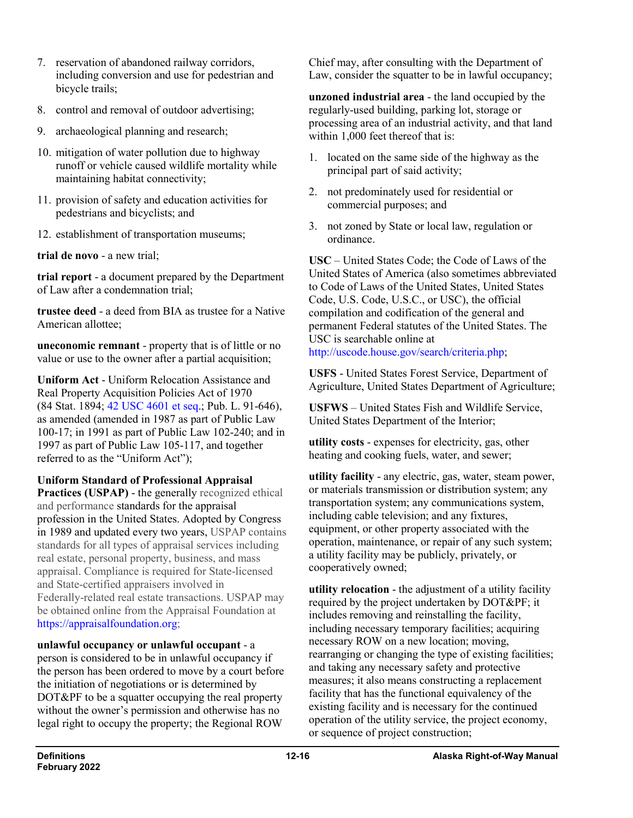- 7. reservation of abandoned railway corridors, including conversion and use for pedestrian and bicycle trails;
- 8. control and removal of outdoor advertising;
- 9. archaeological planning and research;
- 10. mitigation of water pollution due to highway runoff or vehicle caused wildlife mortality while maintaining habitat connectivity;
- 11. provision of safety and education activities for pedestrians and bicyclists; and
- 12. establishment of transportation museums;

**trial de novo** - a new trial;

**trial report** - a document prepared by the Department of Law after a condemnation trial;

**trustee deed** - a deed from BIA as trustee for a Native American allottee;

**uneconomic remnant** - property that is of little or no value or use to the owner after a partial acquisition;

**Uniform Act** - Uniform Relocation Assistance and Real Property Acquisition Policies Act of 1970 (84 Stat. 1894; 42 USC [4601 et seq.](http://uscode.house.gov/view.xhtml?req=(title:42%20section:4601%20edition:prelim)%20OR%20(granuleid:USC-prelim-title42-section4601)&f=treesort&edition=prelim&num=0&jumpTo=true); Pub. L. 91-646), as amended (amended in 1987 as part of Public Law 100-17; in 1991 as part of Public Law 102-240; and in 1997 as part of Public Law 105-117, and together referred to as the "Uniform Act");

**Uniform Standard of Professional Appraisal** 

**Practices (USPAP)** - the generally recognized ethical and performance standards for the appraisal profession in the United States. Adopted by Congress in 1989 and updated every two years, USPAP contains standards for all types of appraisal services including real estate, personal property, business, and mass appraisal. Compliance is required for State-licensed and State-certified appraisers involved in Federally-related real estate transactions. USPAP may be obtained online from the Appraisal Foundation at [https://appraisalfoundation.org;](https://appraisalfoundation.org/)

**unlawful occupancy or unlawful occupant** - a person is considered to be in unlawful occupancy if the person has been ordered to move by a court before the initiation of negotiations or is determined by DOT&PF to be a squatter occupying the real property without the owner's permission and otherwise has no legal right to occupy the property; the Regional ROW

Chief may, after consulting with the Department of Law, consider the squatter to be in lawful occupancy;

**unzoned industrial area** - the land occupied by the regularly-used building, parking lot, storage or processing area of an industrial activity, and that land within 1,000 feet thereof that is:

- 1. located on the same side of the highway as the principal part of said activity;
- 2. not predominately used for residential or commercial purposes; and
- 3. not zoned by State or local law, regulation or ordinance.

**USC** – United States Code; the Code of Laws of the United States of America (also sometimes abbreviated to Code of Laws of the United States, United States Code, U.S. Code, U.S.C., or USC), the official compilation and codification of the general and permanent Federal statutes of the United States. The USC is searchable online at [http://uscode.house.gov/search/criteria.php;](http://uscode.house.gov/search/criteria.php)

**USFS** - United States Forest Service, Department of Agriculture, United States Department of Agriculture;

**USFWS** – United States Fish and Wildlife Service, United States Department of the Interior;

**utility costs** - expenses for electricity, gas, other heating and cooking fuels, water, and sewer;

**utility facility** - any electric, gas, water, steam power, or materials transmission or distribution system; any transportation system; any communications system, including cable television; and any fixtures, equipment, or other property associated with the operation, maintenance, or repair of any such system; a utility facility may be publicly, privately, or cooperatively owned;

**utility relocation** - the adjustment of a utility facility required by the project undertaken by DOT&PF; it includes removing and reinstalling the facility, including necessary temporary facilities; acquiring necessary ROW on a new location; moving, rearranging or changing the type of existing facilities; and taking any necessary safety and protective measures; it also means constructing a replacement facility that has the functional equivalency of the existing facility and is necessary for the continued operation of the utility service, the project economy, or sequence of project construction;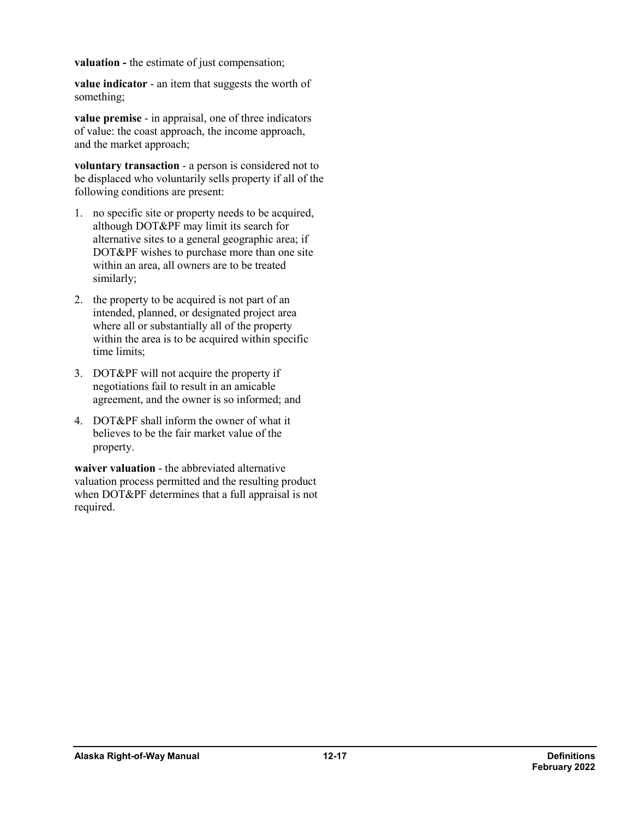**valuation -** the estimate of just compensation;

**value indicator** - an item that suggests the worth of something;

**value premise** - in appraisal, one of three indicators of value: the coast approach, the income approach, and the market approach;

**voluntary transaction** - a person is considered not to be displaced who voluntarily sells property if all of the following conditions are present:

- 1. no specific site or property needs to be acquired, although DOT&PF may limit its search for alternative sites to a general geographic area; if DOT&PF wishes to purchase more than one site within an area, all owners are to be treated similarly;
- 2. the property to be acquired is not part of an intended, planned, or designated project area where all or substantially all of the property within the area is to be acquired within specific time limits;
- 3. DOT&PF will not acquire the property if negotiations fail to result in an amicable agreement, and the owner is so informed; and
- 4. DOT&PF shall inform the owner of what it believes to be the fair market value of the property.

**waiver valuation** - the abbreviated alternative valuation process permitted and the resulting product when DOT&PF determines that a full appraisal is not required.